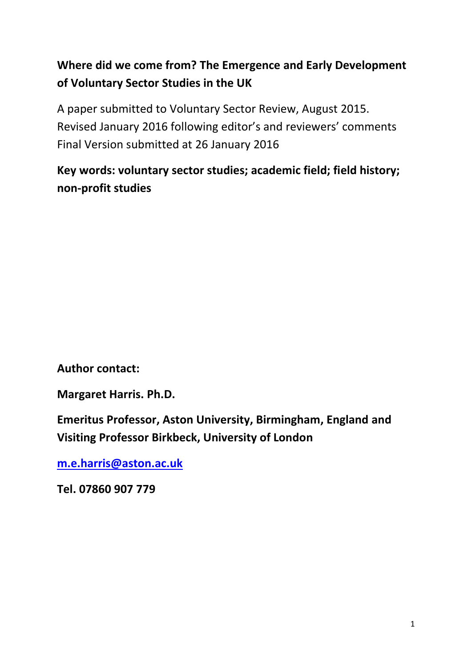# **Where did we come from? The Emergence and Early Development of Voluntary Sector Studies in the UK**

A paper submitted to Voluntary Sector Review, August 2015. Revised January 2016 following editor's and reviewers' comments Final Version submitted at 26 January 2016

# **Key words: voluntary sector studies; academic field; field history; non-profit studies**

**Author contact:**

**Margaret Harris. Ph.D.**

**Emeritus Professor, Aston University, Birmingham, England and Visiting Professor Birkbeck, University of London**

**[m.e.harris@aston.ac.uk](mailto:m.e.harris@aston.ac.uk)**

**Tel. 07860 907 779**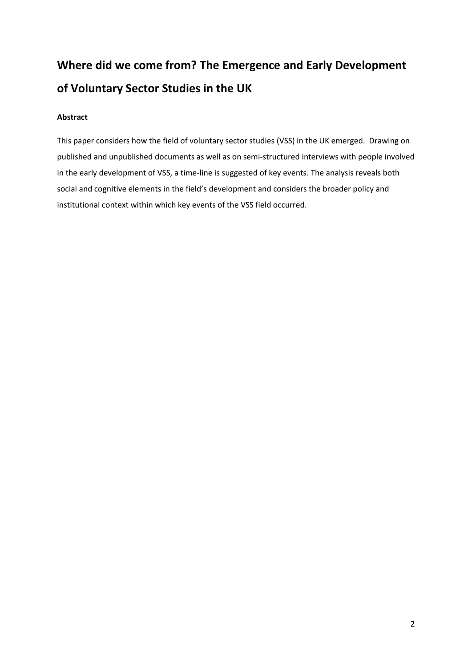# **Where did we come from? The Emergence and Early Development of Voluntary Sector Studies in the UK**

# **Abstract**

This paper considers how the field of voluntary sector studies (VSS) in the UK emerged. Drawing on published and unpublished documents as well as on semi-structured interviews with people involved in the early development of VSS, a time-line is suggested of key events. The analysis reveals both social and cognitive elements in the field's development and considers the broader policy and institutional context within which key events of the VSS field occurred.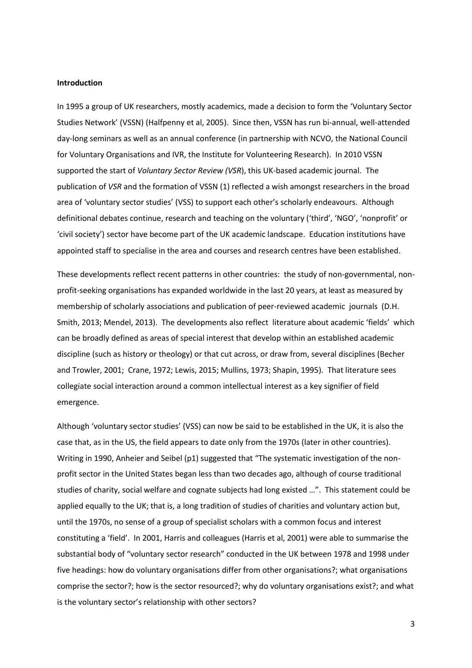#### **Introduction**

In 1995 a group of UK researchers, mostly academics, made a decision to form the 'Voluntary Sector Studies Network' (VSSN) (Halfpenny et al, 2005). Since then, VSSN has run bi-annual, well-attended day-long seminars as well as an annual conference (in partnership with NCVO, the National Council for Voluntary Organisations and IVR, the Institute for Volunteering Research). In 2010 VSSN supported the start of *Voluntary Sector Review (VSR*), this UK-based academic journal. The publication of *VSR* and the formation of VSSN (1) reflected a wish amongst researchers in the broad area of 'voluntary sector studies' (VSS) to support each other's scholarly endeavours. Although definitional debates continue, research and teaching on the voluntary ('third', 'NGO', 'nonprofit' or 'civil society') sector have become part of the UK academic landscape. Education institutions have appointed staff to specialise in the area and courses and research centres have been established.

These developments reflect recent patterns in other countries: the study of non-governmental, nonprofit-seeking organisations has expanded worldwide in the last 20 years, at least as measured by membership of scholarly associations and publication of peer-reviewed academic journals (D.H. Smith, 2013; Mendel, 2013). The developments also reflect literature about academic 'fields' which can be broadly defined as areas of special interest that develop within an established academic discipline (such as history or theology) or that cut across, or draw from, several disciplines (Becher and Trowler, 2001; Crane, 1972; Lewis, 2015; Mullins, 1973; Shapin, 1995). That literature sees collegiate social interaction around a common intellectual interest as a key signifier of field emergence.

Although 'voluntary sector studies' (VSS) can now be said to be established in the UK, it is also the case that, as in the US, the field appears to date only from the 1970s (later in other countries). Writing in 1990, Anheier and Seibel (p1) suggested that "The systematic investigation of the nonprofit sector in the United States began less than two decades ago, although of course traditional studies of charity, social welfare and cognate subjects had long existed …". This statement could be applied equally to the UK; that is, a long tradition of studies of charities and voluntary action but, until the 1970s, no sense of a group of specialist scholars with a common focus and interest constituting a 'field'. In 2001, Harris and colleagues (Harris et al, 2001) were able to summarise the substantial body of "voluntary sector research" conducted in the UK between 1978 and 1998 under five headings: how do voluntary organisations differ from other organisations?; what organisations comprise the sector?; how is the sector resourced?; why do voluntary organisations exist?; and what is the voluntary sector's relationship with other sectors?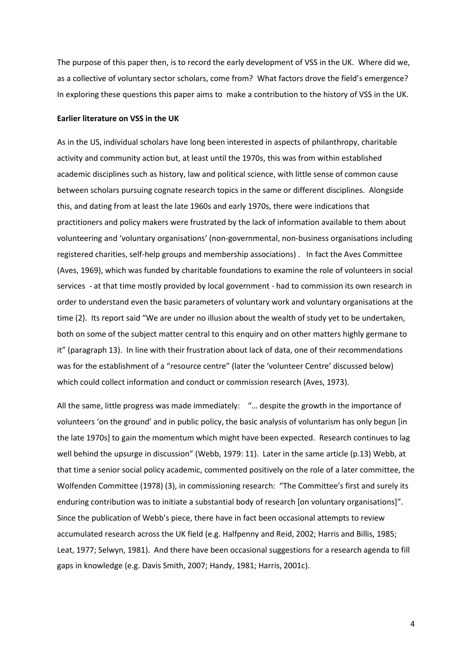The purpose of this paper then, is to record the early development of VSS in the UK. Where did we, as a collective of voluntary sector scholars, come from? What factors drove the field's emergence? In exploring these questions this paper aims to make a contribution to the history of VSS in the UK.

#### **Earlier literature on VSS in the UK**

As in the US, individual scholars have long been interested in aspects of philanthropy, charitable activity and community action but, at least until the 1970s, this was from within established academic disciplines such as history, law and political science, with little sense of common cause between scholars pursuing cognate research topics in the same or different disciplines. Alongside this, and dating from at least the late 1960s and early 1970s, there were indications that practitioners and policy makers were frustrated by the lack of information available to them about volunteering and 'voluntary organisations' (non-governmental, non-business organisations including registered charities, self-help groups and membership associations) . In fact the Aves Committee (Aves, 1969), which was funded by charitable foundations to examine the role of volunteers in social services - at that time mostly provided by local government - had to commission its own research in order to understand even the basic parameters of voluntary work and voluntary organisations at the time (2). Its report said "We are under no illusion about the wealth of study yet to be undertaken, both on some of the subject matter central to this enquiry and on other matters highly germane to it" (paragraph 13). In line with their frustration about lack of data, one of their recommendations was for the establishment of a "resource centre" (later the 'volunteer Centre' discussed below) which could collect information and conduct or commission research (Aves, 1973).

All the same, little progress was made immediately: "… despite the growth in the importance of volunteers 'on the ground' and in public policy, the basic analysis of voluntarism has only begun [in the late 1970s] to gain the momentum which might have been expected. Research continues to lag well behind the upsurge in discussion" (Webb, 1979: 11). Later in the same article (p.13) Webb, at that time a senior social policy academic, commented positively on the role of a later committee, the Wolfenden Committee (1978) (3), in commissioning research: "The Committee's first and surely its enduring contribution was to initiate a substantial body of research [on voluntary organisations]". Since the publication of Webb's piece, there have in fact been occasional attempts to review accumulated research across the UK field (e.g. Halfpenny and Reid, 2002; Harris and Billis, 1985; Leat, 1977; Selwyn, 1981). And there have been occasional suggestions for a research agenda to fill gaps in knowledge (e.g. Davis Smith, 2007; Handy, 1981; Harris, 2001c).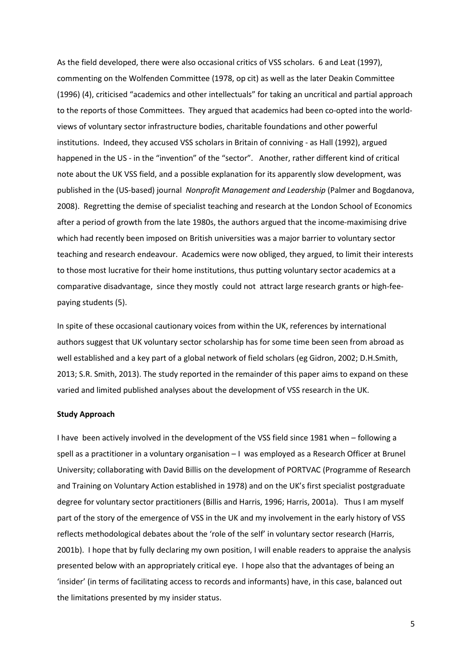As the field developed, there were also occasional critics of VSS scholars. 6 and Leat (1997), commenting on the Wolfenden Committee (1978, op cit) as well as the later Deakin Committee (1996) (4), criticised "academics and other intellectuals" for taking an uncritical and partial approach to the reports of those Committees. They argued that academics had been co-opted into the worldviews of voluntary sector infrastructure bodies, charitable foundations and other powerful institutions. Indeed, they accused VSS scholars in Britain of conniving - as Hall (1992), argued happened in the US - in the "invention" of the "sector". Another, rather different kind of critical note about the UK VSS field, and a possible explanation for its apparently slow development, was published in the (US-based) journal *Nonprofit Management and Leadership* (Palmer and Bogdanova, 2008). Regretting the demise of specialist teaching and research at the London School of Economics after a period of growth from the late 1980s, the authors argued that the income-maximising drive which had recently been imposed on British universities was a major barrier to voluntary sector teaching and research endeavour. Academics were now obliged, they argued, to limit their interests to those most lucrative for their home institutions, thus putting voluntary sector academics at a comparative disadvantage, since they mostly could not attract large research grants or high-feepaying students (5).

In spite of these occasional cautionary voices from within the UK, references by international authors suggest that UK voluntary sector scholarship has for some time been seen from abroad as well established and a key part of a global network of field scholars (eg Gidron, 2002; D.H.Smith, 2013; S.R. Smith, 2013). The study reported in the remainder of this paper aims to expand on these varied and limited published analyses about the development of VSS research in the UK.

#### **Study Approach**

I have been actively involved in the development of the VSS field since 1981 when – following a spell as a practitioner in a voluntary organisation – I was employed as a Research Officer at Brunel University; collaborating with David Billis on the development of PORTVAC (Programme of Research and Training on Voluntary Action established in 1978) and on the UK's first specialist postgraduate degree for voluntary sector practitioners (Billis and Harris, 1996; Harris, 2001a). Thus I am myself part of the story of the emergence of VSS in the UK and my involvement in the early history of VSS reflects methodological debates about the 'role of the self' in voluntary sector research (Harris, 2001b). I hope that by fully declaring my own position, I will enable readers to appraise the analysis presented below with an appropriately critical eye. I hope also that the advantages of being an 'insider' (in terms of facilitating access to records and informants) have, in this case, balanced out the limitations presented by my insider status.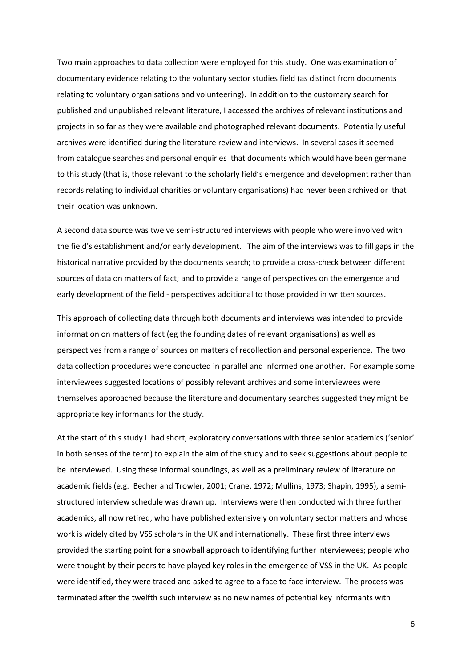Two main approaches to data collection were employed for this study. One was examination of documentary evidence relating to the voluntary sector studies field (as distinct from documents relating to voluntary organisations and volunteering). In addition to the customary search for published and unpublished relevant literature, I accessed the archives of relevant institutions and projects in so far as they were available and photographed relevant documents. Potentially useful archives were identified during the literature review and interviews. In several cases it seemed from catalogue searches and personal enquiries that documents which would have been germane to this study (that is, those relevant to the scholarly field's emergence and development rather than records relating to individual charities or voluntary organisations) had never been archived or that their location was unknown.

A second data source was twelve semi-structured interviews with people who were involved with the field's establishment and/or early development. The aim of the interviews was to fill gaps in the historical narrative provided by the documents search; to provide a cross-check between different sources of data on matters of fact; and to provide a range of perspectives on the emergence and early development of the field - perspectives additional to those provided in written sources.

This approach of collecting data through both documents and interviews was intended to provide information on matters of fact (eg the founding dates of relevant organisations) as well as perspectives from a range of sources on matters of recollection and personal experience. The two data collection procedures were conducted in parallel and informed one another. For example some interviewees suggested locations of possibly relevant archives and some interviewees were themselves approached because the literature and documentary searches suggested they might be appropriate key informants for the study.

At the start of this study I had short, exploratory conversations with three senior academics ('senior' in both senses of the term) to explain the aim of the study and to seek suggestions about people to be interviewed. Using these informal soundings, as well as a preliminary review of literature on academic fields (e.g. Becher and Trowler, 2001; Crane, 1972; Mullins, 1973; Shapin, 1995), a semistructured interview schedule was drawn up. Interviews were then conducted with three further academics, all now retired, who have published extensively on voluntary sector matters and whose work is widely cited by VSS scholars in the UK and internationally. These first three interviews provided the starting point for a snowball approach to identifying further interviewees; people who were thought by their peers to have played key roles in the emergence of VSS in the UK. As people were identified, they were traced and asked to agree to a face to face interview. The process was terminated after the twelfth such interview as no new names of potential key informants with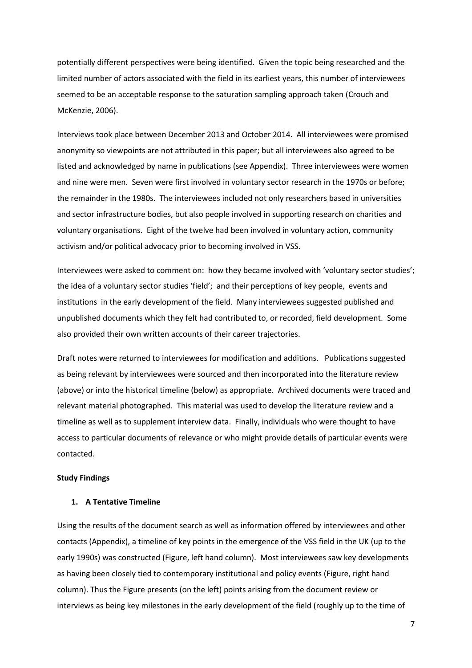potentially different perspectives were being identified. Given the topic being researched and the limited number of actors associated with the field in its earliest years, this number of interviewees seemed to be an acceptable response to the saturation sampling approach taken (Crouch and McKenzie, 2006).

Interviews took place between December 2013 and October 2014. All interviewees were promised anonymity so viewpoints are not attributed in this paper; but all interviewees also agreed to be listed and acknowledged by name in publications (see Appendix). Three interviewees were women and nine were men. Seven were first involved in voluntary sector research in the 1970s or before; the remainder in the 1980s. The interviewees included not only researchers based in universities and sector infrastructure bodies, but also people involved in supporting research on charities and voluntary organisations. Eight of the twelve had been involved in voluntary action, community activism and/or political advocacy prior to becoming involved in VSS.

Interviewees were asked to comment on: how they became involved with 'voluntary sector studies'; the idea of a voluntary sector studies 'field'; and their perceptions of key people, events and institutions in the early development of the field. Many interviewees suggested published and unpublished documents which they felt had contributed to, or recorded, field development. Some also provided their own written accounts of their career trajectories.

Draft notes were returned to interviewees for modification and additions. Publications suggested as being relevant by interviewees were sourced and then incorporated into the literature review (above) or into the historical timeline (below) as appropriate. Archived documents were traced and relevant material photographed. This material was used to develop the literature review and a timeline as well as to supplement interview data. Finally, individuals who were thought to have access to particular documents of relevance or who might provide details of particular events were contacted.

#### **Study Findings**

## **1. A Tentative Timeline**

Using the results of the document search as well as information offered by interviewees and other contacts (Appendix), a timeline of key points in the emergence of the VSS field in the UK (up to the early 1990s) was constructed (Figure, left hand column). Most interviewees saw key developments as having been closely tied to contemporary institutional and policy events (Figure, right hand column). Thus the Figure presents (on the left) points arising from the document review or interviews as being key milestones in the early development of the field (roughly up to the time of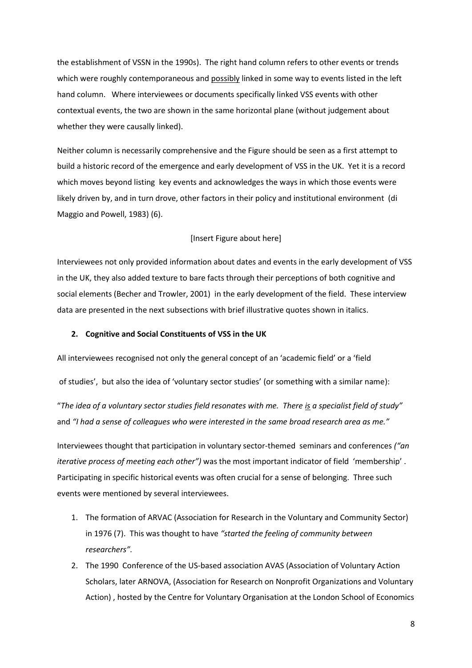the establishment of VSSN in the 1990s). The right hand column refers to other events or trends which were roughly contemporaneous and possibly linked in some way to events listed in the left hand column. Where interviewees or documents specifically linked VSS events with other contextual events, the two are shown in the same horizontal plane (without judgement about whether they were causally linked).

Neither column is necessarily comprehensive and the Figure should be seen as a first attempt to build a historic record of the emergence and early development of VSS in the UK. Yet it is a record which moves beyond listing key events and acknowledges the ways in which those events were likely driven by, and in turn drove, other factors in their policy and institutional environment (di Maggio and Powell, 1983) (6).

#### [Insert Figure about here]

Interviewees not only provided information about dates and events in the early development of VSS in the UK, they also added texture to bare facts through their perceptions of both cognitive and social elements (Becher and Trowler, 2001) in the early development of the field. These interview data are presented in the next subsections with brief illustrative quotes shown in italics.

#### **2. Cognitive and Social Constituents of VSS in the UK**

All interviewees recognised not only the general concept of an 'academic field' or a 'field

of studies', but also the idea of 'voluntary sector studies' (or something with a similar name):

"*The idea of a voluntary sector studies field resonates with me. There is a specialist field of study"* and *"I had a sense of colleagues who were interested in the same broad research area as me."*

Interviewees thought that participation in voluntary sector-themed seminars and conferences *("an iterative process of meeting each other")* was the most important indicator of field 'membership' . Participating in specific historical events was often crucial for a sense of belonging. Three such events were mentioned by several interviewees.

- 1. The formation of ARVAC (Association for Research in the Voluntary and Community Sector) in 1976 (7). This was thought to have *"started the feeling of community between researchers".*
- 2. The 1990 Conference of the US-based association AVAS (Association of Voluntary Action Scholars, later ARNOVA, (Association for Research on Nonprofit Organizations and Voluntary Action) , hosted by the Centre for Voluntary Organisation at the London School of Economics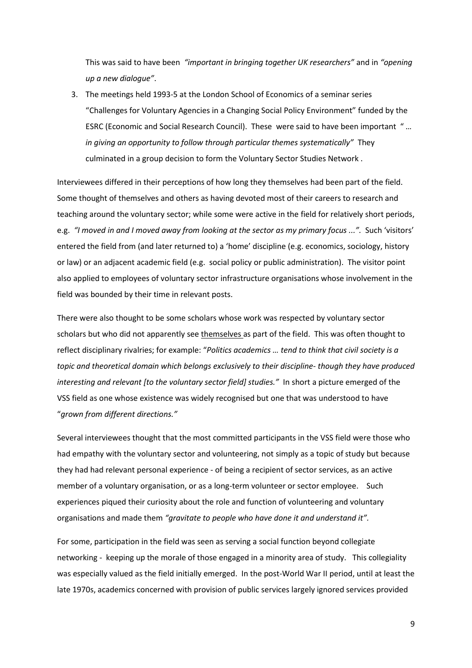This was said to have been *"important in bringing together UK researchers"* and in *"opening up a new dialogue"*.

3. The meetings held 1993-5 at the London School of Economics of a seminar series "Challenges for Voluntary Agencies in a Changing Social Policy Environment" funded by the ESRC (Economic and Social Research Council). These were said to have been important " *… in giving an opportunity to follow through particular themes systematically"* They culminated in a group decision to form the Voluntary Sector Studies Network .

Interviewees differed in their perceptions of how long they themselves had been part of the field. Some thought of themselves and others as having devoted most of their careers to research and teaching around the voluntary sector; while some were active in the field for relatively short periods, e.g. *"I moved in and I moved away from looking at the sector as my primary focus ...".* Such 'visitors' entered the field from (and later returned to) a 'home' discipline (e.g. economics, sociology, history or law) or an adjacent academic field (e.g. social policy or public administration). The visitor point also applied to employees of voluntary sector infrastructure organisations whose involvement in the field was bounded by their time in relevant posts.

There were also thought to be some scholars whose work was respected by voluntary sector scholars but who did not apparently see themselves as part of the field. This was often thought to reflect disciplinary rivalries; for example: "*Politics academics … tend to think that civil society is a topic and theoretical domain which belongs exclusively to their discipline- though they have produced interesting and relevant [to the voluntary sector field] studies."* In short a picture emerged of the VSS field as one whose existence was widely recognised but one that was understood to have "*grown from different directions."*

Several interviewees thought that the most committed participants in the VSS field were those who had empathy with the voluntary sector and volunteering, not simply as a topic of study but because they had had relevant personal experience - of being a recipient of sector services, as an active member of a voluntary organisation, or as a long-term volunteer or sector employee. Such experiences piqued their curiosity about the role and function of volunteering and voluntary organisations and made them *"gravitate to people who have done it and understand it".*

For some, participation in the field was seen as serving a social function beyond collegiate networking - keeping up the morale of those engaged in a minority area of study. This collegiality was especially valued as the field initially emerged. In the post-World War II period, until at least the late 1970s, academics concerned with provision of public services largely ignored services provided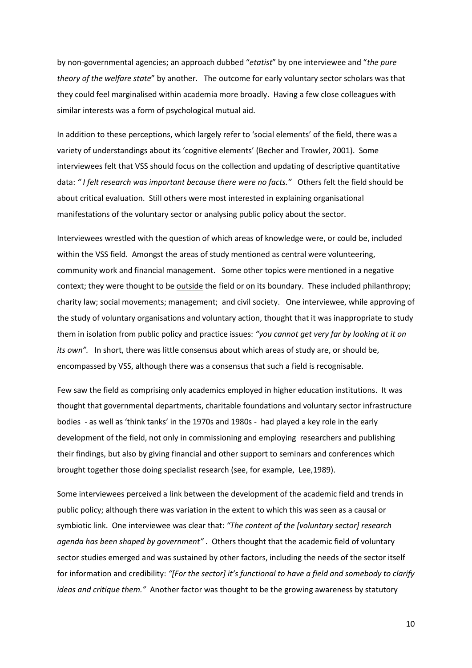by non-governmental agencies; an approach dubbed "*etatist*" by one interviewee and "*the pure theory of the welfare state*" by another. The outcome for early voluntary sector scholars was that they could feel marginalised within academia more broadly. Having a few close colleagues with similar interests was a form of psychological mutual aid.

In addition to these perceptions, which largely refer to 'social elements' of the field, there was a variety of understandings about its 'cognitive elements' (Becher and Trowler, 2001). Some interviewees felt that VSS should focus on the collection and updating of descriptive quantitative data: *" I felt research was important because there were no facts."* Others felt the field should be about critical evaluation. Still others were most interested in explaining organisational manifestations of the voluntary sector or analysing public policy about the sector.

Interviewees wrestled with the question of which areas of knowledge were, or could be, included within the VSS field. Amongst the areas of study mentioned as central were volunteering, community work and financial management. Some other topics were mentioned in a negative context; they were thought to be outside the field or on its boundary. These included philanthropy; charity law; social movements; management; and civil society. One interviewee, while approving of the study of voluntary organisations and voluntary action, thought that it was inappropriate to study them in isolation from public policy and practice issues: *"you cannot get very far by looking at it on its own".* In short, there was little consensus about which areas of study are, or should be, encompassed by VSS, although there was a consensus that such a field is recognisable.

Few saw the field as comprising only academics employed in higher education institutions. It was thought that governmental departments, charitable foundations and voluntary sector infrastructure bodies - as well as 'think tanks' in the 1970s and 1980s - had played a key role in the early development of the field, not only in commissioning and employing researchers and publishing their findings, but also by giving financial and other support to seminars and conferences which brought together those doing specialist research (see, for example, Lee,1989).

Some interviewees perceived a link between the development of the academic field and trends in public policy; although there was variation in the extent to which this was seen as a causal or symbiotic link. One interviewee was clear that: *"The content of the [voluntary sector] research agenda has been shaped by government" .* Others thought that the academic field of voluntary sector studies emerged and was sustained by other factors, including the needs of the sector itself for information and credibility: *"[For the sector] it's functional to have a field and somebody to clarify ideas and critique them."* Another factor was thought to be the growing awareness by statutory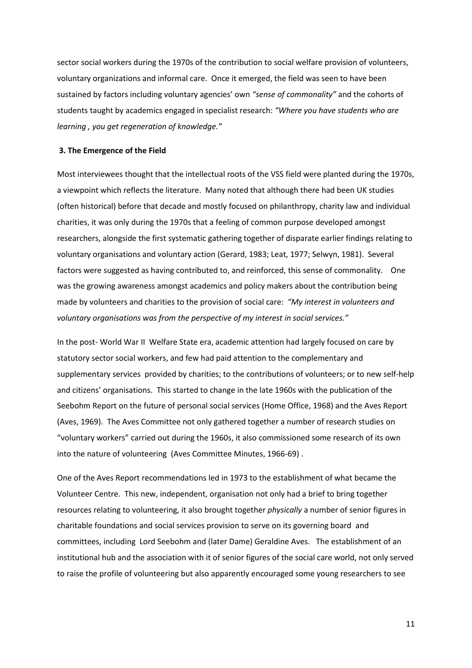sector social workers during the 1970s of the contribution to social welfare provision of volunteers, voluntary organizations and informal care. Once it emerged, the field was seen to have been sustained by factors including voluntary agencies' own *"sense of commonality"* and the cohorts of students taught by academics engaged in specialist research: *"Where you have students who are learning , you get regeneration of knowledge."*

#### **3. The Emergence of the Field**

Most interviewees thought that the intellectual roots of the VSS field were planted during the 1970s, a viewpoint which reflects the literature. Many noted that although there had been UK studies (often historical) before that decade and mostly focused on philanthropy, charity law and individual charities, it was only during the 1970s that a feeling of common purpose developed amongst researchers, alongside the first systematic gathering together of disparate earlier findings relating to voluntary organisations and voluntary action (Gerard, 1983; Leat, 1977; Selwyn, 1981). Several factors were suggested as having contributed to, and reinforced, this sense of commonality. One was the growing awareness amongst academics and policy makers about the contribution being made by volunteers and charities to the provision of social care: *"My interest in volunteers and voluntary organisations was from the perspective of my interest in social services."*

In the post- World War II Welfare State era, academic attention had largely focused on care by statutory sector social workers, and few had paid attention to the complementary and supplementary services provided by charities; to the contributions of volunteers; or to new self-help and citizens' organisations. This started to change in the late 1960s with the publication of the Seebohm Report on the future of personal social services (Home Office, 1968) and the Aves Report (Aves, 1969). The Aves Committee not only gathered together a number of research studies on "voluntary workers" carried out during the 1960s, it also commissioned some research of its own into the nature of volunteering (Aves Committee Minutes, 1966-69) .

One of the Aves Report recommendations led in 1973 to the establishment of what became the Volunteer Centre. This new, independent, organisation not only had a brief to bring together resources relating to volunteering, it also brought together *physically* a number of senior figures in charitable foundations and social services provision to serve on its governing board and committees, including Lord Seebohm and (later Dame) Geraldine Aves. The establishment of an institutional hub and the association with it of senior figures of the social care world, not only served to raise the profile of volunteering but also apparently encouraged some young researchers to see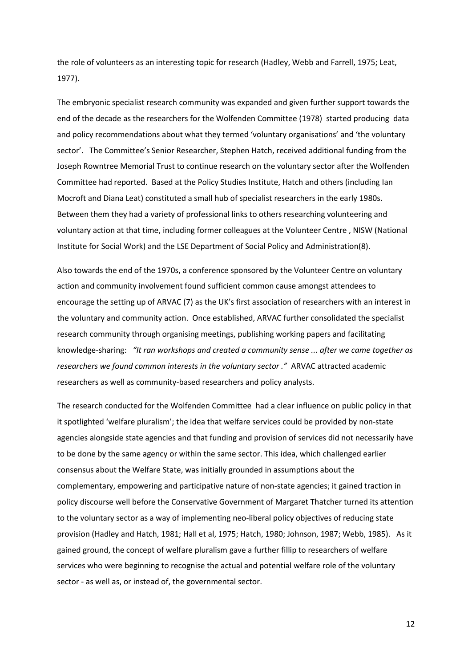the role of volunteers as an interesting topic for research (Hadley, Webb and Farrell, 1975; Leat, 1977).

The embryonic specialist research community was expanded and given further support towards the end of the decade as the researchers for the Wolfenden Committee (1978) started producing data and policy recommendations about what they termed 'voluntary organisations' and 'the voluntary sector'. The Committee's Senior Researcher, Stephen Hatch, received additional funding from the Joseph Rowntree Memorial Trust to continue research on the voluntary sector after the Wolfenden Committee had reported. Based at the Policy Studies Institute, Hatch and others (including Ian Mocroft and Diana Leat) constituted a small hub of specialist researchers in the early 1980s. Between them they had a variety of professional links to others researching volunteering and voluntary action at that time, including former colleagues at the Volunteer Centre , NISW (National Institute for Social Work) and the LSE Department of Social Policy and Administration(8).

Also towards the end of the 1970s, a conference sponsored by the Volunteer Centre on voluntary action and community involvement found sufficient common cause amongst attendees to encourage the setting up of ARVAC (7) as the UK's first association of researchers with an interest in the voluntary and community action. Once established, ARVAC further consolidated the specialist research community through organising meetings, publishing working papers and facilitating knowledge-sharing: *"It ran workshops and created a community sense ... after we came together as researchers we found common interests in the voluntary sector ."* ARVAC attracted academic researchers as well as community-based researchers and policy analysts.

The research conducted for the Wolfenden Committee had a clear influence on public policy in that it spotlighted 'welfare pluralism'; the idea that welfare services could be provided by non-state agencies alongside state agencies and that funding and provision of services did not necessarily have to be done by the same agency or within the same sector. This idea, which challenged earlier consensus about the Welfare State, was initially grounded in assumptions about the complementary, empowering and participative nature of non-state agencies; it gained traction in policy discourse well before the Conservative Government of Margaret Thatcher turned its attention to the voluntary sector as a way of implementing neo-liberal policy objectives of reducing state provision (Hadley and Hatch, 1981; Hall et al, 1975; Hatch, 1980; Johnson, 1987; Webb, 1985). As it gained ground, the concept of welfare pluralism gave a further fillip to researchers of welfare services who were beginning to recognise the actual and potential welfare role of the voluntary sector - as well as, or instead of, the governmental sector.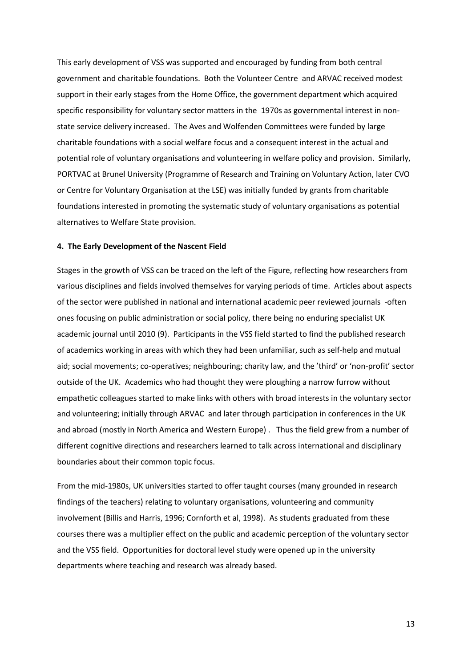This early development of VSS was supported and encouraged by funding from both central government and charitable foundations. Both the Volunteer Centre and ARVAC received modest support in their early stages from the Home Office, the government department which acquired specific responsibility for voluntary sector matters in the 1970s as governmental interest in nonstate service delivery increased. The Aves and Wolfenden Committees were funded by large charitable foundations with a social welfare focus and a consequent interest in the actual and potential role of voluntary organisations and volunteering in welfare policy and provision. Similarly, PORTVAC at Brunel University (Programme of Research and Training on Voluntary Action, later CVO or Centre for Voluntary Organisation at the LSE) was initially funded by grants from charitable foundations interested in promoting the systematic study of voluntary organisations as potential alternatives to Welfare State provision.

#### **4. The Early Development of the Nascent Field**

Stages in the growth of VSS can be traced on the left of the Figure, reflecting how researchers from various disciplines and fields involved themselves for varying periods of time. Articles about aspects of the sector were published in national and international academic peer reviewed journals -often ones focusing on public administration or social policy, there being no enduring specialist UK academic journal until 2010 (9). Participants in the VSS field started to find the published research of academics working in areas with which they had been unfamiliar, such as self-help and mutual aid; social movements; co-operatives; neighbouring; charity law, and the 'third' or 'non-profit' sector outside of the UK. Academics who had thought they were ploughing a narrow furrow without empathetic colleagues started to make links with others with broad interests in the voluntary sector and volunteering; initially through ARVAC and later through participation in conferences in the UK and abroad (mostly in North America and Western Europe) . Thus the field grew from a number of different cognitive directions and researchers learned to talk across international and disciplinary boundaries about their common topic focus.

From the mid-1980s, UK universities started to offer taught courses (many grounded in research findings of the teachers) relating to voluntary organisations, volunteering and community involvement (Billis and Harris, 1996; Cornforth et al, 1998). As students graduated from these courses there was a multiplier effect on the public and academic perception of the voluntary sector and the VSS field. Opportunities for doctoral level study were opened up in the university departments where teaching and research was already based.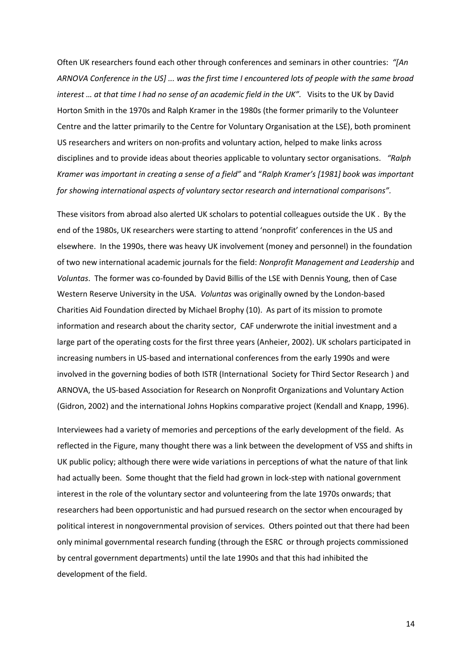Often UK researchers found each other through conferences and seminars in other countries: *"[An ARNOVA Conference in the US] ... was the first time I encountered lots of people with the same broad interest … at that time I had no sense of an academic field in the UK".* Visits to the UK by David Horton Smith in the 1970s and Ralph Kramer in the 1980s (the former primarily to the Volunteer Centre and the latter primarily to the Centre for Voluntary Organisation at the LSE), both prominent US researchers and writers on non-profits and voluntary action, helped to make links across disciplines and to provide ideas about theories applicable to voluntary sector organisations. *"Ralph Kramer was important in creating a sense of a field"* and "*Ralph Kramer's [1981] book was important for showing international aspects of voluntary sector research and international comparisons".*

These visitors from abroad also alerted UK scholars to potential colleagues outside the UK . By the end of the 1980s, UK researchers were starting to attend 'nonprofit' conferences in the US and elsewhere. In the 1990s, there was heavy UK involvement (money and personnel) in the foundation of two new international academic journals for the field: *Nonprofit Management and Leadership* and *Voluntas*. The former was co-founded by David Billis of the LSE with Dennis Young, then of Case Western Reserve University in the USA. *Voluntas* was originally owned by the London-based Charities Aid Foundation directed by Michael Brophy (10). As part of its mission to promote information and research about the charity sector, CAF underwrote the initial investment and a large part of the operating costs for the first three years (Anheier, 2002). UK scholars participated in increasing numbers in US-based and international conferences from the early 1990s and were involved in the governing bodies of both ISTR (International Society for Third Sector Research ) and ARNOVA, the US-based Association for Research on Nonprofit Organizations and Voluntary Action (Gidron, 2002) and the international Johns Hopkins comparative project (Kendall and Knapp, 1996).

Interviewees had a variety of memories and perceptions of the early development of the field. As reflected in the Figure, many thought there was a link between the development of VSS and shifts in UK public policy; although there were wide variations in perceptions of what the nature of that link had actually been. Some thought that the field had grown in lock-step with national government interest in the role of the voluntary sector and volunteering from the late 1970s onwards; that researchers had been opportunistic and had pursued research on the sector when encouraged by political interest in nongovernmental provision of services. Others pointed out that there had been only minimal governmental research funding (through the ESRC or through projects commissioned by central government departments) until the late 1990s and that this had inhibited the development of the field.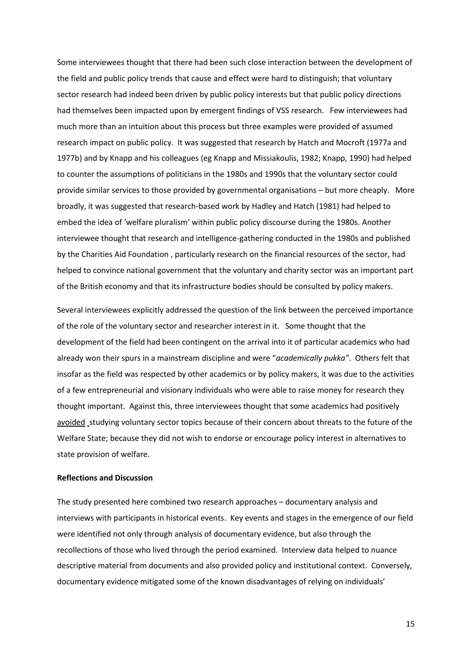Some interviewees thought that there had been such close interaction between the development of the field and public policy trends that cause and effect were hard to distinguish; that voluntary sector research had indeed been driven by public policy interests but that public policy directions had themselves been impacted upon by emergent findings of VSS research. Few interviewees had much more than an intuition about this process but three examples were provided of assumed research impact on public policy. It was suggested that research by Hatch and Mocroft (1977a and 1977b) and by Knapp and his colleagues (eg Knapp and Missiakoulis, 1982; Knapp, 1990) had helped to counter the assumptions of politicians in the 1980s and 1990s that the voluntary sector could provide similar services to those provided by governmental organisations – but more cheaply. More broadly, it was suggested that research-based work by Hadley and Hatch (1981) had helped to embed the idea of 'welfare pluralism' within public policy discourse during the 1980s. Another interviewee thought that research and intelligence-gathering conducted in the 1980s and published by the Charities Aid Foundation , particularly research on the financial resources of the sector, had helped to convince national government that the voluntary and charity sector was an important part of the British economy and that its infrastructure bodies should be consulted by policy makers.

Several interviewees explicitly addressed the question of the link between the perceived importance of the role of the voluntary sector and researcher interest in it. Some thought that the development of the field had been contingent on the arrival into it of particular academics who had already won their spurs in a mainstream discipline and were "*academically pukka"*. Others felt that insofar as the field was respected by other academics or by policy makers, it was due to the activities of a few entrepreneurial and visionary individuals who were able to raise money for research they thought important. Against this, three interviewees thought that some academics had positively avoided studying voluntary sector topics because of their concern about threats to the future of the Welfare State; because they did not wish to endorse or encourage policy interest in alternatives to state provision of welfare.

#### **Reflections and Discussion**

The study presented here combined two research approaches – documentary analysis and interviews with participants in historical events. Key events and stages in the emergence of our field were identified not only through analysis of documentary evidence, but also through the recollections of those who lived through the period examined. Interview data helped to nuance descriptive material from documents and also provided policy and institutional context. Conversely, documentary evidence mitigated some of the known disadvantages of relying on individuals'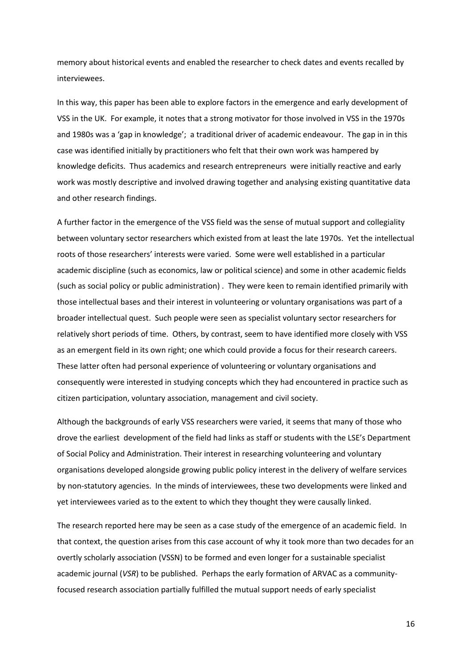memory about historical events and enabled the researcher to check dates and events recalled by interviewees.

In this way, this paper has been able to explore factors in the emergence and early development of VSS in the UK. For example, it notes that a strong motivator for those involved in VSS in the 1970s and 1980s was a 'gap in knowledge'; a traditional driver of academic endeavour. The gap in in this case was identified initially by practitioners who felt that their own work was hampered by knowledge deficits. Thus academics and research entrepreneurs were initially reactive and early work was mostly descriptive and involved drawing together and analysing existing quantitative data and other research findings.

A further factor in the emergence of the VSS field was the sense of mutual support and collegiality between voluntary sector researchers which existed from at least the late 1970s. Yet the intellectual roots of those researchers' interests were varied. Some were well established in a particular academic discipline (such as economics, law or political science) and some in other academic fields (such as social policy or public administration) . They were keen to remain identified primarily with those intellectual bases and their interest in volunteering or voluntary organisations was part of a broader intellectual quest. Such people were seen as specialist voluntary sector researchers for relatively short periods of time. Others, by contrast, seem to have identified more closely with VSS as an emergent field in its own right; one which could provide a focus for their research careers. These latter often had personal experience of volunteering or voluntary organisations and consequently were interested in studying concepts which they had encountered in practice such as citizen participation, voluntary association, management and civil society.

Although the backgrounds of early VSS researchers were varied, it seems that many of those who drove the earliest development of the field had links as staff or students with the LSE's Department of Social Policy and Administration. Their interest in researching volunteering and voluntary organisations developed alongside growing public policy interest in the delivery of welfare services by non-statutory agencies. In the minds of interviewees, these two developments were linked and yet interviewees varied as to the extent to which they thought they were causally linked.

The research reported here may be seen as a case study of the emergence of an academic field. In that context, the question arises from this case account of why it took more than two decades for an overtly scholarly association (VSSN) to be formed and even longer for a sustainable specialist academic journal (*VSR*) to be published. Perhaps the early formation of ARVAC as a communityfocused research association partially fulfilled the mutual support needs of early specialist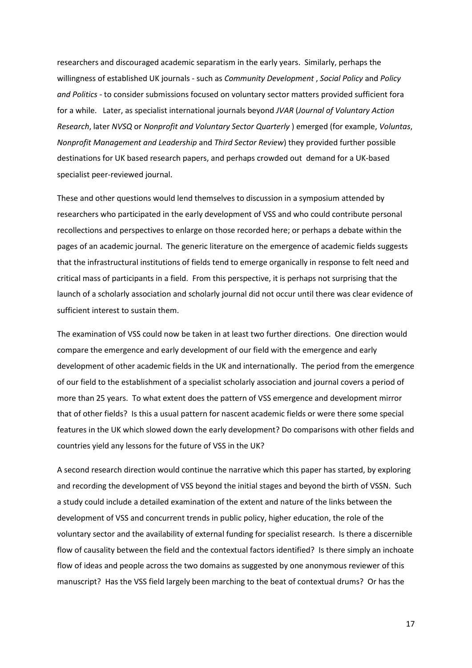researchers and discouraged academic separatism in the early years. Similarly, perhaps the willingness of established UK journals - such as *Community Development* , *Social Policy* and *Policy and Politics* - to consider submissions focused on voluntary sector matters provided sufficient fora for a while. Later, as specialist international journals beyond *JVAR* (*Journal of Voluntary Action Research*, later *NVSQ* or *Nonprofit and Voluntary Sector Quarterly* ) emerged (for example, *Voluntas*, *Nonprofit Management and Leadership* and *Third Sector Review*) they provided further possible destinations for UK based research papers, and perhaps crowded out demand for a UK-based specialist peer-reviewed journal.

These and other questions would lend themselves to discussion in a symposium attended by researchers who participated in the early development of VSS and who could contribute personal recollections and perspectives to enlarge on those recorded here; or perhaps a debate within the pages of an academic journal. The generic literature on the emergence of academic fields suggests that the infrastructural institutions of fields tend to emerge organically in response to felt need and critical mass of participants in a field. From this perspective, it is perhaps not surprising that the launch of a scholarly association and scholarly journal did not occur until there was clear evidence of sufficient interest to sustain them.

The examination of VSS could now be taken in at least two further directions. One direction would compare the emergence and early development of our field with the emergence and early development of other academic fields in the UK and internationally. The period from the emergence of our field to the establishment of a specialist scholarly association and journal covers a period of more than 25 years. To what extent does the pattern of VSS emergence and development mirror that of other fields? Is this a usual pattern for nascent academic fields or were there some special features in the UK which slowed down the early development? Do comparisons with other fields and countries yield any lessons for the future of VSS in the UK?

A second research direction would continue the narrative which this paper has started, by exploring and recording the development of VSS beyond the initial stages and beyond the birth of VSSN. Such a study could include a detailed examination of the extent and nature of the links between the development of VSS and concurrent trends in public policy, higher education, the role of the voluntary sector and the availability of external funding for specialist research. Is there a discernible flow of causality between the field and the contextual factors identified? Is there simply an inchoate flow of ideas and people across the two domains as suggested by one anonymous reviewer of this manuscript? Has the VSS field largely been marching to the beat of contextual drums? Or has the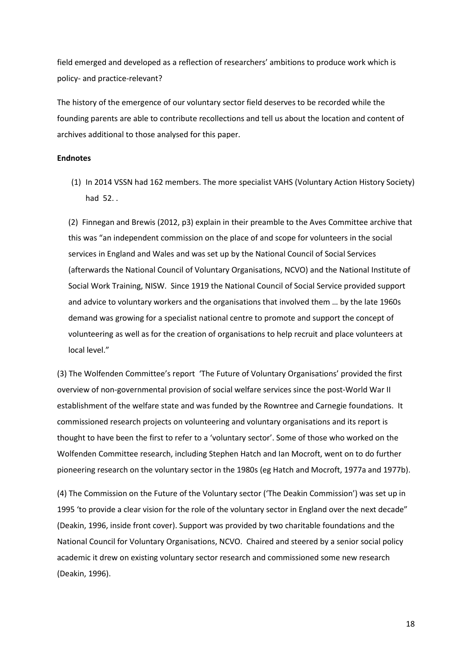field emerged and developed as a reflection of researchers' ambitions to produce work which is policy- and practice-relevant?

The history of the emergence of our voluntary sector field deserves to be recorded while the founding parents are able to contribute recollections and tell us about the location and content of archives additional to those analysed for this paper.

#### **Endnotes**

(1) In 2014 VSSN had 162 members. The more specialist VAHS (Voluntary Action History Society) had 52. .

(2) Finnegan and Brewis (2012, p3) explain in their preamble to the Aves Committee archive that this was "an independent commission on the place of and scope for volunteers in the social services in England and Wales and was set up by the National Council of Social Services (afterwards the National Council of Voluntary Organisations, NCVO) and the National Institute of Social Work Training, NISW. Since 1919 the National Council of Social Service provided support and advice to voluntary workers and the organisations that involved them … by the late 1960s demand was growing for a specialist national centre to promote and support the concept of volunteering as well as for the creation of organisations to help recruit and place volunteers at local level."

(3) The Wolfenden Committee's report 'The Future of Voluntary Organisations' provided the first overview of non-governmental provision of social welfare services since the post-World War II establishment of the welfare state and was funded by the Rowntree and Carnegie foundations. It commissioned research projects on volunteering and voluntary organisations and its report is thought to have been the first to refer to a 'voluntary sector'. Some of those who worked on the Wolfenden Committee research, including Stephen Hatch and Ian Mocroft, went on to do further pioneering research on the voluntary sector in the 1980s (eg Hatch and Mocroft, 1977a and 1977b).

(4) The Commission on the Future of the Voluntary sector ('The Deakin Commission') was set up in 1995 'to provide a clear vision for the role of the voluntary sector in England over the next decade" (Deakin, 1996, inside front cover). Support was provided by two charitable foundations and the National Council for Voluntary Organisations, NCVO. Chaired and steered by a senior social policy academic it drew on existing voluntary sector research and commissioned some new research (Deakin, 1996).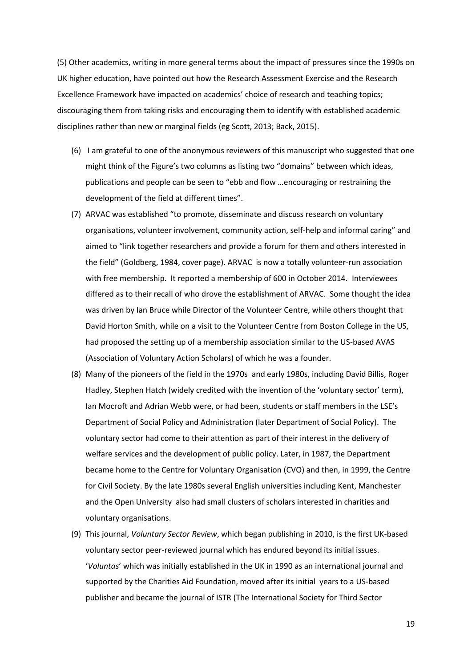(5) Other academics, writing in more general terms about the impact of pressures since the 1990s on UK higher education, have pointed out how the Research Assessment Exercise and the Research Excellence Framework have impacted on academics' choice of research and teaching topics; discouraging them from taking risks and encouraging them to identify with established academic disciplines rather than new or marginal fields (eg Scott, 2013; Back, 2015).

- (6) I am grateful to one of the anonymous reviewers of this manuscript who suggested that one might think of the Figure's two columns as listing two "domains" between which ideas, publications and people can be seen to "ebb and flow …encouraging or restraining the development of the field at different times".
- (7) ARVAC was established "to promote, disseminate and discuss research on voluntary organisations, volunteer involvement, community action, self-help and informal caring" and aimed to "link together researchers and provide a forum for them and others interested in the field" (Goldberg, 1984, cover page). ARVAC is now a totally volunteer-run association with free membership. It reported a membership of 600 in October 2014. Interviewees differed as to their recall of who drove the establishment of ARVAC. Some thought the idea was driven by Ian Bruce while Director of the Volunteer Centre, while others thought that David Horton Smith, while on a visit to the Volunteer Centre from Boston College in the US, had proposed the setting up of a membership association similar to the US-based AVAS (Association of Voluntary Action Scholars) of which he was a founder.
- (8) Many of the pioneers of the field in the 1970s and early 1980s, including David Billis, Roger Hadley, Stephen Hatch (widely credited with the invention of the 'voluntary sector' term), Ian Mocroft and Adrian Webb were, or had been, students or staff members in the LSE's Department of Social Policy and Administration (later Department of Social Policy). The voluntary sector had come to their attention as part of their interest in the delivery of welfare services and the development of public policy. Later, in 1987, the Department became home to the Centre for Voluntary Organisation (CVO) and then, in 1999, the Centre for Civil Society. By the late 1980s several English universities including Kent, Manchester and the Open University also had small clusters of scholars interested in charities and voluntary organisations.
- (9) This journal, *Voluntary Sector Review*, which began publishing in 2010, is the first UK-based voluntary sector peer-reviewed journal which has endured beyond its initial issues. '*Voluntas*' which was initially established in the UK in 1990 as an international journal and supported by the Charities Aid Foundation, moved after its initial years to a US-based publisher and became the journal of ISTR (The International Society for Third Sector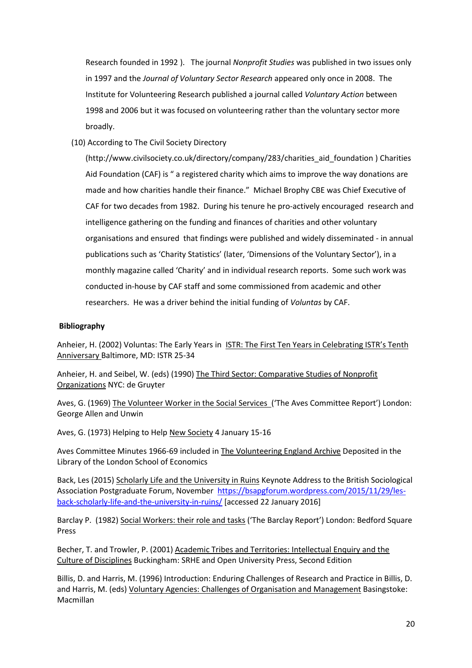Research founded in 1992 ). The journal *Nonprofit Studies* was published in two issues only in 1997 and the *Journal of Voluntary Sector Research* appeared only once in 2008. The Institute for Volunteering Research published a journal called *Voluntary Action* between 1998 and 2006 but it was focused on volunteering rather than the voluntary sector more broadly.

(10) According to The Civil Society Directory

(http://www.civilsociety.co.uk/directory/company/283/charities\_aid\_foundation ) Charities Aid Foundation (CAF) is " a registered charity which aims to improve the way donations are made and how charities handle their finance." Michael Brophy CBE was Chief Executive of CAF for two decades from 1982. During his tenure he pro-actively encouraged research and intelligence gathering on the funding and finances of charities and other voluntary organisations and ensured that findings were published and widely disseminated - in annual publications such as 'Charity Statistics' (later, 'Dimensions of the Voluntary Sector'), in a monthly magazine called 'Charity' and in individual research reports. Some such work was conducted in-house by CAF staff and some commissioned from academic and other researchers. He was a driver behind the initial funding of *Voluntas* by CAF.

## **Bibliography**

Anheier, H. (2002) Voluntas: The Early Years in ISTR: The First Ten Years in Celebrating ISTR's Tenth Anniversary Baltimore, MD: ISTR 25-34

Anheier, H. and Seibel, W. (eds) (1990) The Third Sector: Comparative Studies of Nonprofit Organizations NYC: de Gruyter

Aves, G. (1969) The Volunteer Worker in the Social Services ('The Aves Committee Report') London: George Allen and Unwin

Aves, G. (1973) Helping to Help New Society 4 January 15-16

Aves Committee Minutes 1966-69 included in The Volunteering England Archive Deposited in the Library of the London School of Economics

Back, Les (2015) Scholarly Life and the University in Ruins Keynote Address to the British Sociological Association Postgraduate Forum, November [https://bsapgforum.wordpress.com/2015/11/29/les](https://bsapgforum.wordpress.com/2015/11/29/les-back-scholarly-life-and-the-university-in-ruins/)[back-scholarly-life-and-the-university-in-ruins/](https://bsapgforum.wordpress.com/2015/11/29/les-back-scholarly-life-and-the-university-in-ruins/) [accessed 22 January 2016]

Barclay P. (1982) Social Workers: their role and tasks ('The Barclay Report') London: Bedford Square Press

Becher, T. and Trowler, P. (2001) Academic Tribes and Territories: Intellectual Enquiry and the Culture of Disciplines Buckingham: SRHE and Open University Press, Second Edition

Billis, D. and Harris, M. (1996) Introduction: Enduring Challenges of Research and Practice in Billis, D. and Harris, M. (eds) Voluntary Agencies: Challenges of Organisation and Management Basingstoke: Macmillan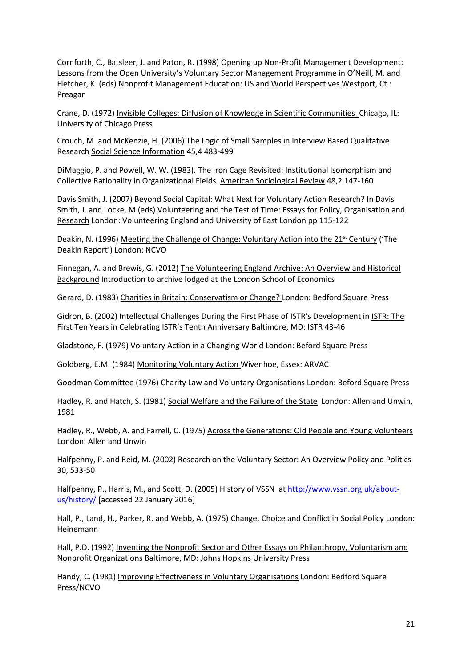Cornforth, C., Batsleer, J. and Paton, R. (1998) Opening up Non-Profit Management Development: Lessons from the Open University's Voluntary Sector Management Programme in O'Neill, M. and Fletcher, K. (eds) Nonprofit Management Education: US and World Perspectives Westport, Ct.: Preagar

Crane, D. (1972) Invisible Colleges: Diffusion of Knowledge in Scientific Communities Chicago, IL: University of Chicago Press

Crouch, M. and McKenzie, H. (2006) The Logic of Small Samples in Interview Based Qualitative Research Social Science Information 45,4 483-499

DiMaggio, P. and Powell, W. W. (1983). The Iron Cage Revisited: Institutional Isomorphism and Collective Rationality in Organizational Fields American Sociological Review 48,2 147-160

Davis Smith, J. (2007) Beyond Social Capital: What Next for Voluntary Action Research? In Davis Smith, J. and Locke, M (eds) Volunteering and the Test of Time: Essays for Policy, Organisation and Research London: Volunteering England and University of East London pp 115-122

Deakin, N. (1996) Meeting the Challenge of Change: Voluntary Action into the 21<sup>st</sup> Century ('The Deakin Report') London: NCVO

Finnegan, A. and Brewis, G. (2012) The Volunteering England Archive: An Overview and Historical Background Introduction to archive lodged at the London School of Economics

Gerard, D. (1983) Charities in Britain: Conservatism or Change? London: Bedford Square Press

Gidron, B. (2002) Intellectual Challenges During the First Phase of ISTR's Development in ISTR: The First Ten Years in Celebrating ISTR's Tenth Anniversary Baltimore, MD: ISTR 43-46

Gladstone, F. (1979) Voluntary Action in a Changing World London: Beford Square Press

Goldberg, E.M. (1984) Monitoring Voluntary Action Wivenhoe, Essex: ARVAC

Goodman Committee (1976) Charity Law and Voluntary Organisations London: Beford Square Press

Hadley, R. and Hatch, S. (1981) Social Welfare and the Failure of the State London: Allen and Unwin, 1981

Hadley, R., Webb, A. and Farrell, C. (1975) Across the Generations: Old People and Young Volunteers London: Allen and Unwin

Halfpenny, P. and Reid, M. (2002) Research on the Voluntary Sector: An Overview Policy and Politics 30, 533-50

Halfpenny, P., Harris, M., and Scott, D. (2005) History of VSSN at [http://www.vssn.org.uk/about](http://www.vssn.org.uk/about-us/history/)[us/history/](http://www.vssn.org.uk/about-us/history/) [accessed 22 January 2016]

Hall, P., Land, H., Parker, R. and Webb, A. (1975) Change, Choice and Conflict in Social Policy London: Heinemann

Hall, P.D. (1992) Inventing the Nonprofit Sector and Other Essays on Philanthropy, Voluntarism and Nonprofit Organizations Baltimore, MD: Johns Hopkins University Press

Handy, C. (1981) Improving Effectiveness in Voluntary Organisations London: Bedford Square Press/NCVO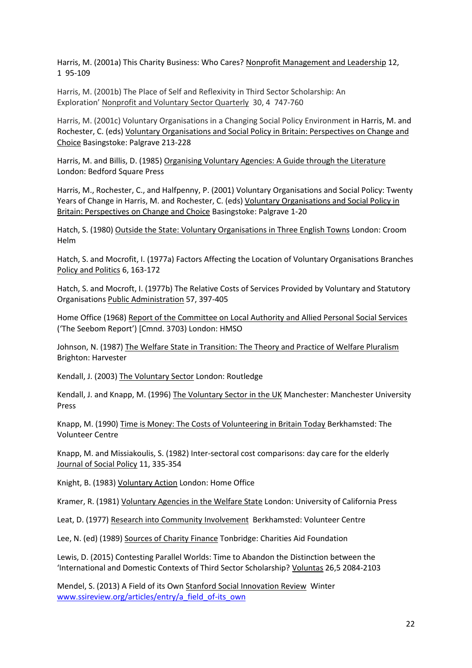Harris, M. (2001a) This Charity Business: Who Cares? Nonprofit Management and Leadership 12, 1 95-109

Harris, M. (2001b) The Place of Self and Reflexivity in Third Sector Scholarship: An Exploration' Nonprofit and Voluntary Sector Quarterly 30, 4 747-760

Harris, M. (2001c) Voluntary Organisations in a Changing Social Policy Environment in Harris, M. and Rochester, C. (eds) Voluntary Organisations and Social Policy in Britain: Perspectives on Change and Choice Basingstoke: Palgrave 213-228

Harris, M. and Billis, D. (1985) Organising Voluntary Agencies: A Guide through the Literature London: Bedford Square Press

Harris, M., Rochester, C., and Halfpenny, P. (2001) Voluntary Organisations and Social Policy: Twenty Years of Change in Harris, M. and Rochester, C. (eds) Voluntary Organisations and Social Policy in Britain: Perspectives on Change and Choice Basingstoke: Palgrave 1-20

Hatch, S. (1980) Outside the State: Voluntary Organisations in Three English Towns London: Croom Helm

Hatch, S. and Mocrofit, I. (1977a) Factors Affecting the Location of Voluntary Organisations Branches Policy and Politics 6, 163-172

Hatch, S. and Mocroft, I. (1977b) The Relative Costs of Services Provided by Voluntary and Statutory Organisations Public Administration 57, 397-405

Home Office (1968) Report of the Committee on Local Authority and Allied Personal Social Services ('The Seebom Report') [Cmnd. 3703) London: HMSO

Johnson, N. (1987) The Welfare State in Transition: The Theory and Practice of Welfare Pluralism Brighton: Harvester

Kendall, J. (2003) The Voluntary Sector London: Routledge

Kendall, J. and Knapp, M. (1996) The Voluntary Sector in the UK Manchester: Manchester University Press

Knapp, M. (1990) Time is Money: The Costs of Volunteering in Britain Today Berkhamsted: The Volunteer Centre

Knapp, M. and Missiakoulis, S. (1982) Inter-sectoral cost comparisons: day care for the elderly Journal of Social Policy 11, 335-354

Knight, B. (1983) Voluntary Action London: Home Office

Kramer, R. (1981) Voluntary Agencies in the Welfare State London: University of California Press

Leat, D. (1977) Research into Community Involvement Berkhamsted: Volunteer Centre

Lee, N. (ed) (1989) Sources of Charity Finance Tonbridge: Charities Aid Foundation

Lewis, D. (2015) Contesting Parallel Worlds: Time to Abandon the Distinction between the 'International and Domestic Contexts of Third Sector Scholarship? Voluntas 26,5 2084-2103

Mendel, S. (2013) A Field of its Own Stanford Social Innovation Review Winter [www.ssireview.org/articles/entry/a\\_field\\_of-its\\_own](http://www.ssireview.org/articles/entry/a_field_of-its_own)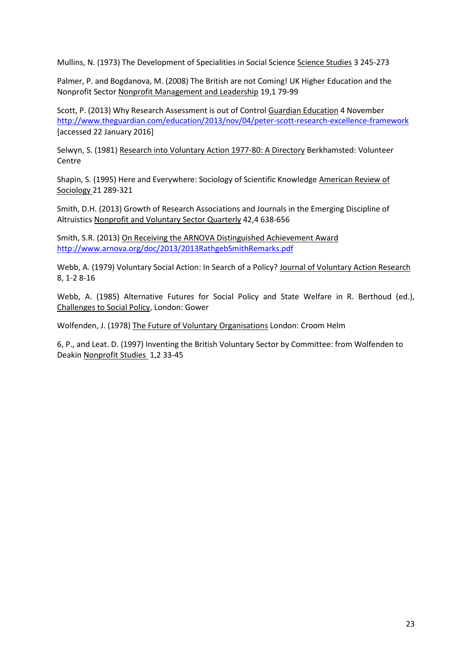Mullins, N. (1973) The Development of Specialities in Social Science Science Studies 3 245-273

Palmer, P. and Bogdanova, M. (2008) The British are not Coming! UK Higher Education and the Nonprofit Sector Nonprofit Management and Leadership 19,1 79-99

Scott, P. (2013) Why Research Assessment is out of Control Guardian Education 4 November <http://www.theguardian.com/education/2013/nov/04/peter-scott-research-excellence-framework> [accessed 22 January 2016]

Selwyn, S. (1981) Research into Voluntary Action 1977-80: A Directory Berkhamsted: Volunteer Centre

Shapin, S. (1995) Here and Everywhere: Sociology of Scientific Knowledge American Review of Sociology 21 289-321

Smith, D.H. (2013) Growth of Research Associations and Journals in the Emerging Discipline of Altruistics Nonprofit and Voluntary Sector Quarterly 42,4 638-656

Smith, S.R. (2013) On Receiving the ARNOVA Distinguished Achievement Award <http://www.arnova.org/doc/2013/2013RathgebSmithRemarks.pdf>

Webb, A. (1979) Voluntary Social Action: In Search of a Policy? Journal of Voluntary Action Research 8, 1-2 8-16

Webb, A. (1985) Alternative Futures for Social Policy and State Welfare in R. Berthoud (ed.), Challenges to Social Policy, London: Gower

Wolfenden, J. (1978) The Future of Voluntary Organisations London: Croom Helm

6, P., and Leat. D. (1997) Inventing the British Voluntary Sector by Committee: from Wolfenden to Deakin Nonprofit Studies 1,2 33-45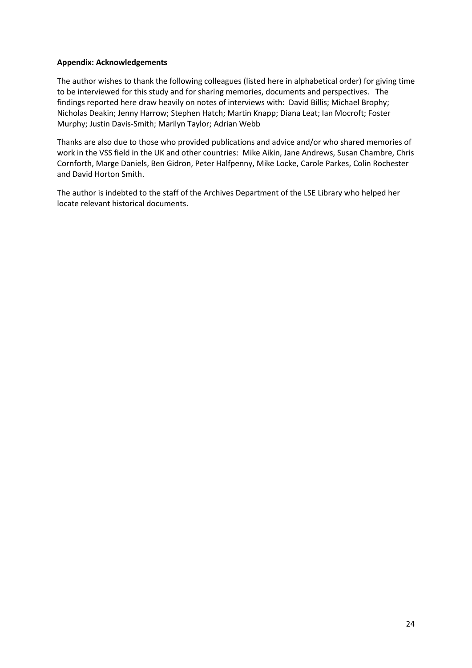## **Appendix: Acknowledgements**

The author wishes to thank the following colleagues (listed here in alphabetical order) for giving time to be interviewed for this study and for sharing memories, documents and perspectives. The findings reported here draw heavily on notes of interviews with: David Billis; Michael Brophy; Nicholas Deakin; Jenny Harrow; Stephen Hatch; Martin Knapp; Diana Leat; Ian Mocroft; Foster Murphy; Justin Davis-Smith; Marilyn Taylor; Adrian Webb

Thanks are also due to those who provided publications and advice and/or who shared memories of work in the VSS field in the UK and other countries: Mike Aikin, Jane Andrews, Susan Chambre, Chris Cornforth, Marge Daniels, Ben Gidron, Peter Halfpenny, Mike Locke, Carole Parkes, Colin Rochester and David Horton Smith.

The author is indebted to the staff of the Archives Department of the LSE Library who helped her locate relevant historical documents.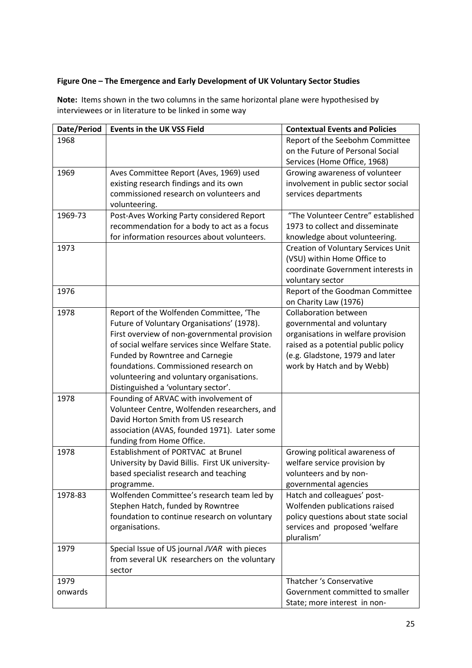# **Figure One – The Emergence and Early Development of UK Voluntary Sector Studies**

| Date/Period | <b>Events in the UK VSS Field</b>                | <b>Contextual Events and Policies</b>      |
|-------------|--------------------------------------------------|--------------------------------------------|
| 1968        |                                                  | Report of the Seebohm Committee            |
|             |                                                  | on the Future of Personal Social           |
|             |                                                  | Services (Home Office, 1968)               |
| 1969        | Aves Committee Report (Aves, 1969) used          | Growing awareness of volunteer             |
|             | existing research findings and its own           | involvement in public sector social        |
|             | commissioned research on volunteers and          | services departments                       |
|             | volunteering.                                    |                                            |
| 1969-73     | Post-Aves Working Party considered Report        | "The Volunteer Centre" established         |
|             | recommendation for a body to act as a focus      | 1973 to collect and disseminate            |
|             | for information resources about volunteers.      | knowledge about volunteering.              |
| 1973        |                                                  | <b>Creation of Voluntary Services Unit</b> |
|             |                                                  | (VSU) within Home Office to                |
|             |                                                  | coordinate Government interests in         |
|             |                                                  | voluntary sector                           |
| 1976        |                                                  | Report of the Goodman Committee            |
|             |                                                  | on Charity Law (1976)                      |
| 1978        | Report of the Wolfenden Committee, 'The          | <b>Collaboration between</b>               |
|             | Future of Voluntary Organisations' (1978).       | governmental and voluntary                 |
|             | First overview of non-governmental provision     | organisations in welfare provision         |
|             | of social welfare services since Welfare State.  | raised as a potential public policy        |
|             | Funded by Rowntree and Carnegie                  | (e.g. Gladstone, 1979 and later            |
|             | foundations. Commissioned research on            | work by Hatch and by Webb)                 |
|             | volunteering and voluntary organisations.        |                                            |
|             | Distinguished a 'voluntary sector'.              |                                            |
| 1978        | Founding of ARVAC with involvement of            |                                            |
|             | Volunteer Centre, Wolfenden researchers, and     |                                            |
|             | David Horton Smith from US research              |                                            |
|             | association (AVAS, founded 1971). Later some     |                                            |
|             | funding from Home Office.                        |                                            |
| 1978        | Establishment of PORTVAC at Brunel               | Growing political awareness of             |
|             | University by David Billis. First UK university- | welfare service provision by               |
|             | based specialist research and teaching           | volunteers and by non-                     |
|             | programme.                                       | governmental agencies                      |
| 1978-83     | Wolfenden Committee's research team led by       | Hatch and colleagues' post-                |
|             | Stephen Hatch, funded by Rowntree                | Wolfenden publications raised              |
|             | foundation to continue research on voluntary     | policy questions about state social        |
|             | organisations.                                   | services and proposed 'welfare             |
|             |                                                  | pluralism'                                 |
| 1979        | Special Issue of US journal JVAR with pieces     |                                            |
|             | from several UK researchers on the voluntary     |                                            |
|             | sector                                           |                                            |
| 1979        |                                                  | Thatcher 's Conservative                   |
| onwards     |                                                  | Government committed to smaller            |
|             |                                                  | State; more interest in non-               |

**Note:** Items shown in the two columns in the same horizontal plane were hypothesised by interviewees or in literature to be linked in some way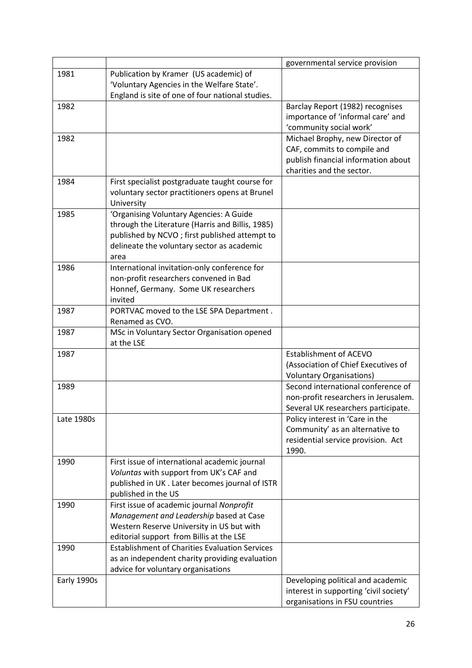|             |                                                       | governmental service provision         |
|-------------|-------------------------------------------------------|----------------------------------------|
| 1981        | Publication by Kramer (US academic) of                |                                        |
|             | 'Voluntary Agencies in the Welfare State'.            |                                        |
|             | England is site of one of four national studies.      |                                        |
| 1982        |                                                       | Barclay Report (1982) recognises       |
|             |                                                       | importance of 'informal care' and      |
|             |                                                       | 'community social work'                |
| 1982        |                                                       | Michael Brophy, new Director of        |
|             |                                                       | CAF, commits to compile and            |
|             |                                                       | publish financial information about    |
|             |                                                       | charities and the sector.              |
| 1984        | First specialist postgraduate taught course for       |                                        |
|             | voluntary sector practitioners opens at Brunel        |                                        |
|             | University                                            |                                        |
| 1985        | 'Organising Voluntary Agencies: A Guide               |                                        |
|             | through the Literature (Harris and Billis, 1985)      |                                        |
|             | published by NCVO; first published attempt to         |                                        |
|             | delineate the voluntary sector as academic            |                                        |
|             | area                                                  |                                        |
| 1986        | International invitation-only conference for          |                                        |
|             | non-profit researchers convened in Bad                |                                        |
|             | Honnef, Germany. Some UK researchers                  |                                        |
|             | invited                                               |                                        |
| 1987        | PORTVAC moved to the LSE SPA Department.              |                                        |
|             | Renamed as CVO.                                       |                                        |
| 1987        | MSc in Voluntary Sector Organisation opened           |                                        |
|             | at the LSE                                            |                                        |
| 1987        |                                                       | <b>Establishment of ACEVO</b>          |
|             |                                                       | (Association of Chief Executives of    |
|             |                                                       | <b>Voluntary Organisations)</b>        |
| 1989        |                                                       | Second international conference of     |
|             |                                                       | non-profit researchers in Jerusalem.   |
|             |                                                       | Several UK researchers participate.    |
| Late 1980s  |                                                       | Policy interest in 'Care in the        |
|             |                                                       | Community' as an alternative to        |
|             |                                                       | residential service provision. Act     |
|             |                                                       | 1990.                                  |
| 1990        | First issue of international academic journal         |                                        |
|             | Voluntas with support from UK's CAF and               |                                        |
|             | published in UK. Later becomes journal of ISTR        |                                        |
|             | published in the US                                   |                                        |
| 1990        | First issue of academic journal Nonprofit             |                                        |
|             | Management and Leadership based at Case               |                                        |
|             | Western Reserve University in US but with             |                                        |
|             | editorial support from Billis at the LSE              |                                        |
| 1990        | <b>Establishment of Charities Evaluation Services</b> |                                        |
|             | as an independent charity providing evaluation        |                                        |
|             | advice for voluntary organisations                    |                                        |
| Early 1990s |                                                       | Developing political and academic      |
|             |                                                       | interest in supporting 'civil society' |
|             |                                                       | organisations in FSU countries         |